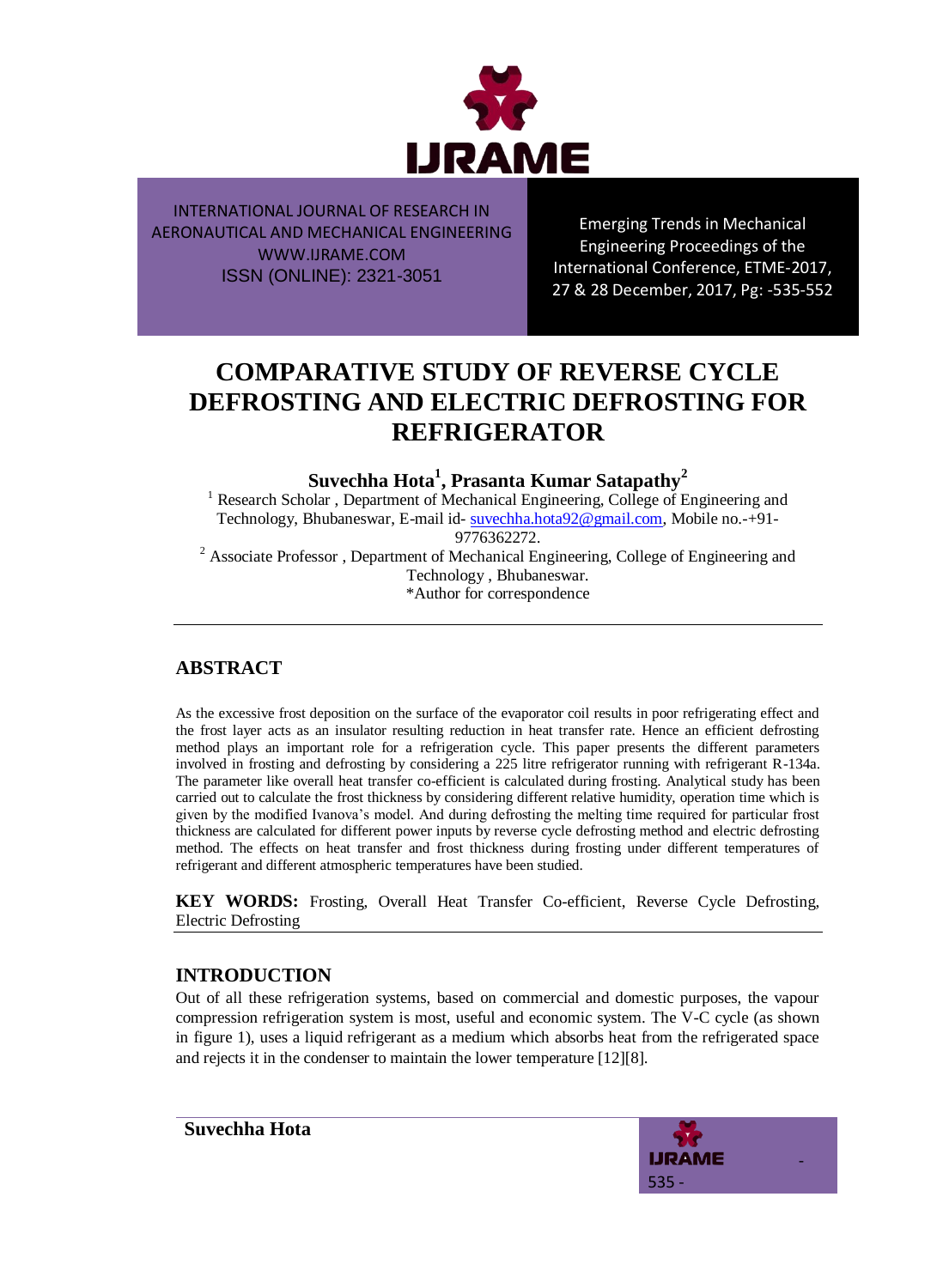

Emerging Trends in Mechanical Engineering Proceedings of the International Conference, ETME-2017, 27 & 28 December, 2017, Pg: -535-552

# **COMPARATIVE STUDY OF REVERSE CYCLE DEFROSTING AND ELECTRIC DEFROSTING FOR REFRIGERATOR**

**Suvechha Hota<sup>1</sup> , Prasanta Kumar Satapathy<sup>2</sup>**

<sup>1</sup> Research Scholar, Department of Mechanical Engineering, College of Engineering and Technology, Bhubaneswar, E-mail id- [suvechha.hota92@gmail.com,](mailto:suvechha.hota92@gmail.com) Mobile no. +91-

9776362272.

 $2^2$  Associate Professor, Department of Mechanical Engineering, College of Engineering and Technology , Bhubaneswar. \*Author for correspondence

# **ABSTRACT**

As the excessive frost deposition on the surface of the evaporator coil results in poor refrigerating effect and the frost layer acts as an insulator resulting reduction in heat transfer rate. Hence an efficient defrosting method plays an important role for a refrigeration cycle. This paper presents the different parameters involved in frosting and defrosting by considering a 225 litre refrigerator running with refrigerant R-134a. The parameter like overall heat transfer co-efficient is calculated during frosting. Analytical study has been carried out to calculate the frost thickness by considering different relative humidity, operation time which is given by the modified Ivanova"s model. And during defrosting the melting time required for particular frost thickness are calculated for different power inputs by reverse cycle defrosting method and electric defrosting method. The effects on heat transfer and frost thickness during frosting under different temperatures of refrigerant and different atmospheric temperatures have been studied.

**KEY WORDS:** Frosting, Overall Heat Transfer Co-efficient, Reverse Cycle Defrosting, Electric Defrosting

# **INTRODUCTION**

Out of all these refrigeration systems, based on commercial and domestic purposes, the vapour compression refrigeration system is most, useful and economic system. The V-C cycle (as shown in figure 1), uses a liquid refrigerant as a medium which absorbs heat from the refrigerated space and rejects it in the condenser to maintain the lower temperature [12][8].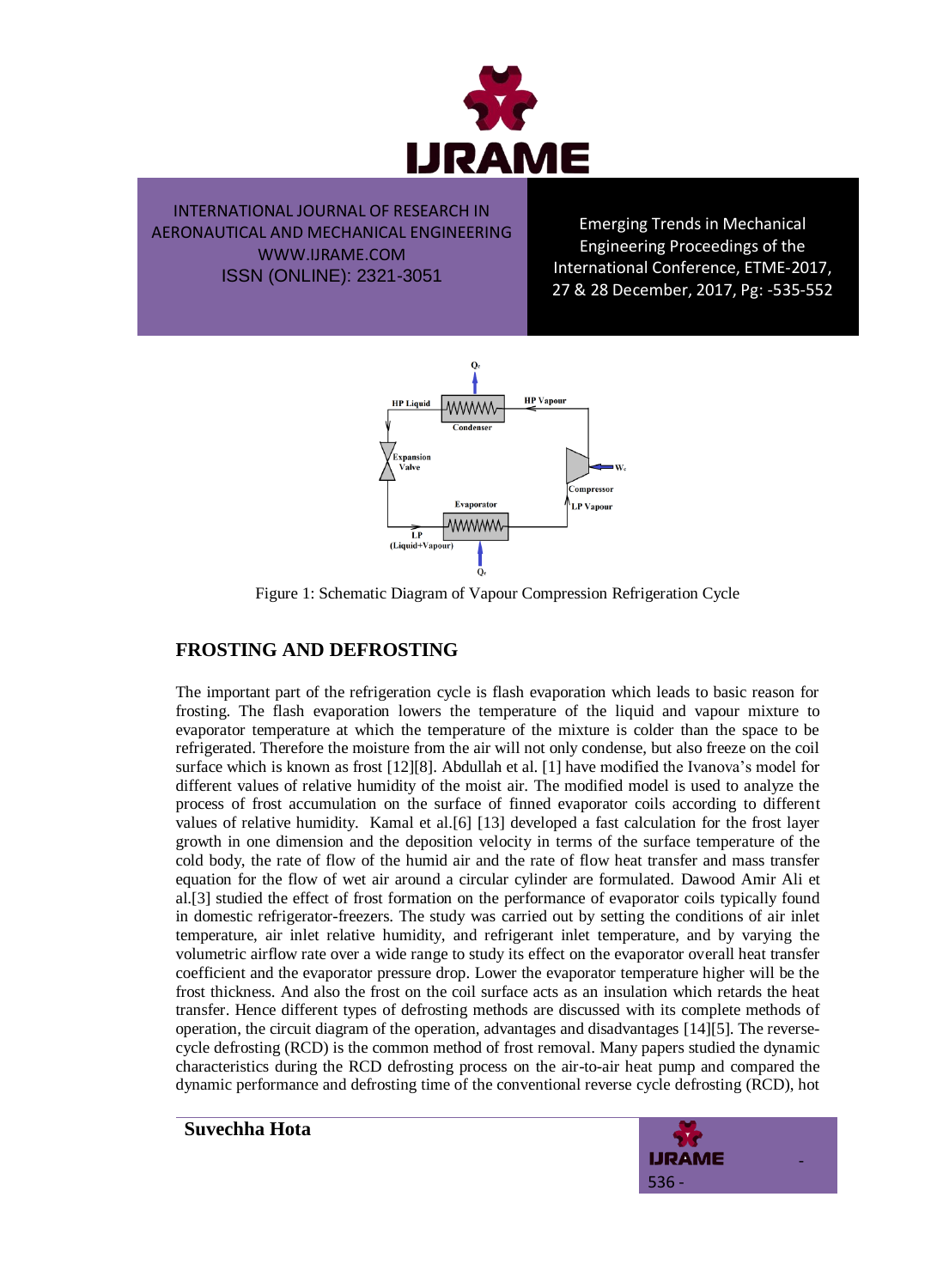

Emerging Trends in Mechanical Engineering Proceedings of the International Conference, ETME-2017, 27 & 28 December, 2017, Pg: -535-552



Figure 1: Schematic Diagram of Vapour Compression Refrigeration Cycle

## **FROSTING AND DEFROSTING**

The important part of the refrigeration cycle is flash evaporation which leads to basic reason for frosting. The flash evaporation lowers the temperature of the liquid and vapour mixture to evaporator temperature at which the temperature of the mixture is colder than the space to be refrigerated. Therefore the moisture from the air will not only condense, but also freeze on the coil surface which is known as frost [12][8]. Abdullah et al. [1] have modified the Ivanova"s model for different values of relative humidity of the moist air. The modified model is used to analyze the process of frost accumulation on the surface of finned evaporator coils according to different values of relative humidity. Kamal et al.[6] [13] developed a fast calculation for the frost layer growth in one dimension and the deposition velocity in terms of the surface temperature of the cold body, the rate of flow of the humid air and the rate of flow heat transfer and mass transfer equation for the flow of wet air around a circular cylinder are formulated. Dawood Amir Ali et al.[3] studied the effect of frost formation on the performance of evaporator coils typically found in domestic refrigerator-freezers. The study was carried out by setting the conditions of air inlet temperature, air inlet relative humidity, and refrigerant inlet temperature, and by varying the volumetric airflow rate over a wide range to study its effect on the evaporator overall heat transfer coefficient and the evaporator pressure drop. Lower the evaporator temperature higher will be the frost thickness. And also the frost on the coil surface acts as an insulation which retards the heat transfer. Hence different types of defrosting methods are discussed with its complete methods of operation, the circuit diagram of the operation, advantages and disadvantages [14][5]. The reversecycle defrosting (RCD) is the common method of frost removal. Many papers studied the dynamic characteristics during the RCD defrosting process on the air-to-air heat pump and compared the dynamic performance and defrosting time of the conventional reverse cycle defrosting (RCD), hot

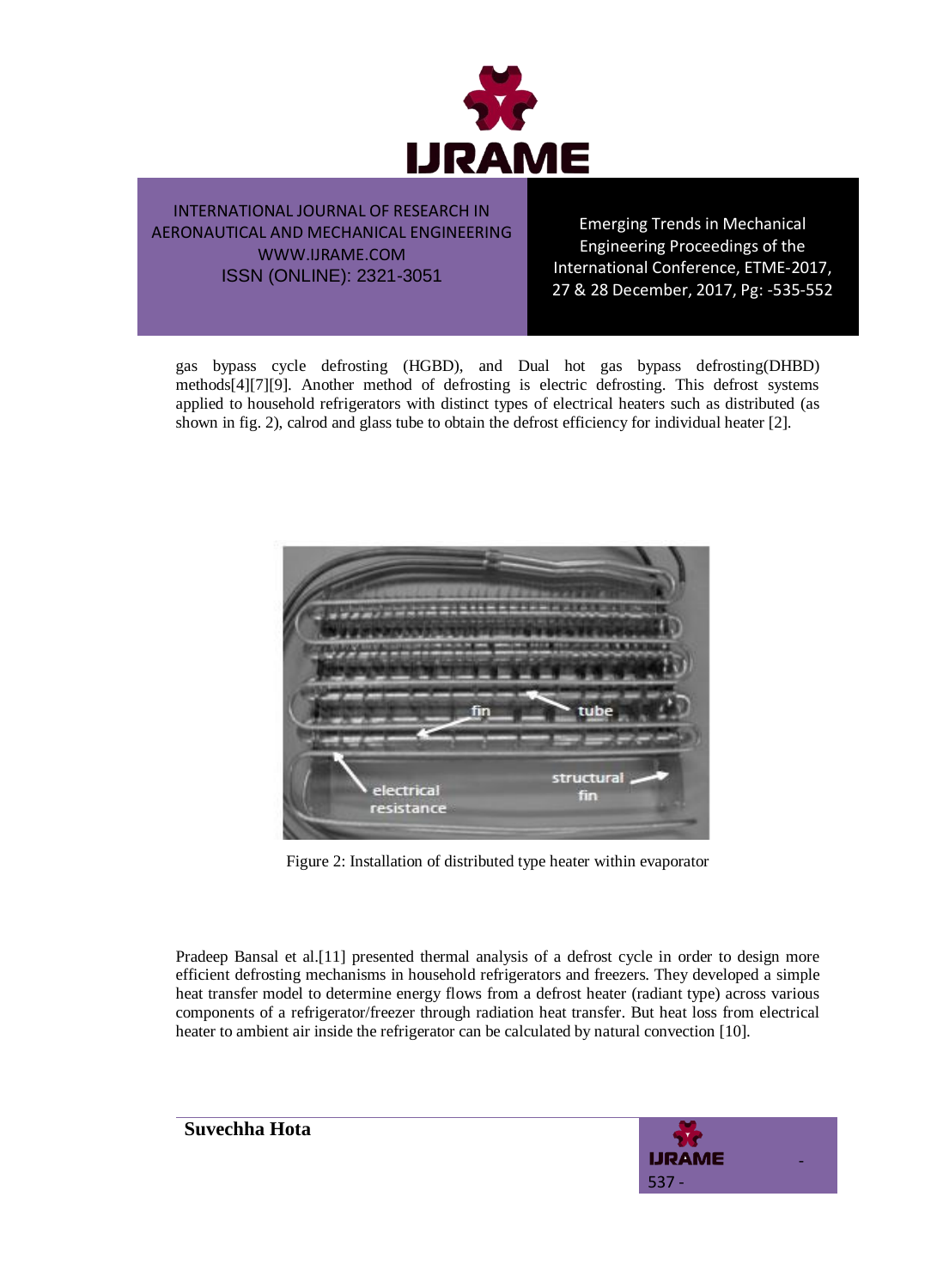

Emerging Trends in Mechanical Engineering Proceedings of the International Conference, ETME-2017, 27 & 28 December, 2017, Pg: -535-552

gas bypass cycle defrosting (HGBD), and Dual hot gas bypass defrosting(DHBD) methods[4][7][9]. Another method of defrosting is electric defrosting. This defrost systems applied to household refrigerators with distinct types of electrical heaters such as distributed (as shown in fig. 2), calrod and glass tube to obtain the defrost efficiency for individual heater [2].



Figure 2: Installation of distributed type heater within evaporator

Pradeep Bansal et al.[11] presented thermal analysis of a defrost cycle in order to design more efficient defrosting mechanisms in household refrigerators and freezers. They developed a simple heat transfer model to determine energy flows from a defrost heater (radiant type) across various components of a refrigerator/freezer through radiation heat transfer. But heat loss from electrical heater to ambient air inside the refrigerator can be calculated by natural convection [10].

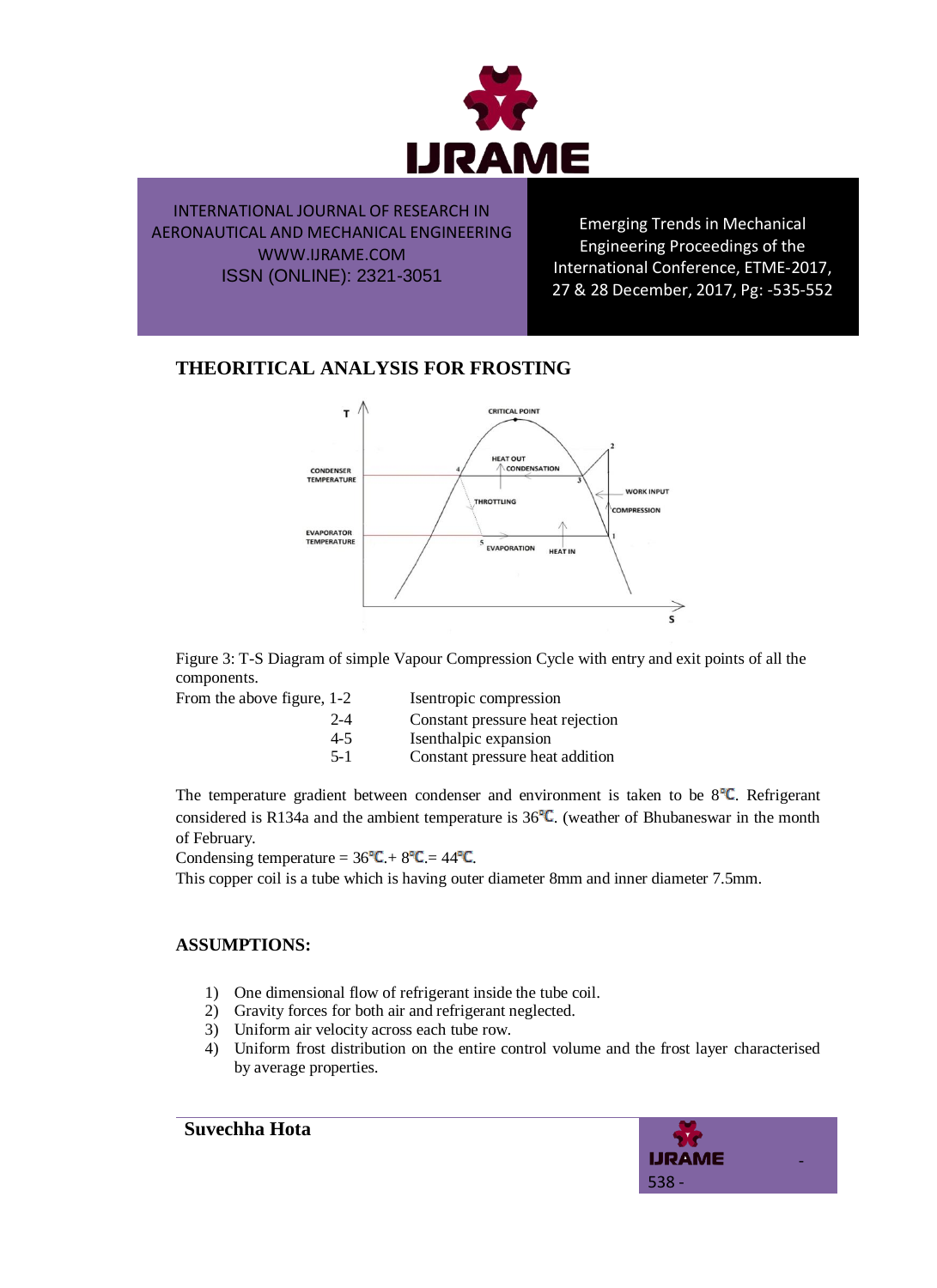

Emerging Trends in Mechanical Engineering Proceedings of the International Conference, ETME-2017, 27 & 28 December, 2017, Pg: -535-552

# **THEORITICAL ANALYSIS FOR FROSTING**



Figure 3: T-S Diagram of simple Vapour Compression Cycle with entry and exit points of all the components.

From the above figure,

| From the above figure, 1-2 | Isentropic compression           |
|----------------------------|----------------------------------|
| $2 - 4$                    | Constant pressure heat rejection |
| $4-5$                      | Isenthalpic expansion            |
| $5-1$                      | Constant pressure heat addition  |

The temperature gradient between condenser and environment is taken to be  $8^{\circ}C$ . Refrigerant considered is R134a and the ambient temperature is  $36^{\circ}$ C. (weather of Bhubaneswar in the month of February.

Condensing temperature =  $36^{\circ}$ C. +  $8^{\circ}$ C. =  $44^{\circ}$ C.

This copper coil is a tube which is having outer diameter 8mm and inner diameter 7.5mm.

#### **ASSUMPTIONS:**

- 1) One dimensional flow of refrigerant inside the tube coil.
- 2) Gravity forces for both air and refrigerant neglected.
- 3) Uniform air velocity across each tube row.
- 4) Uniform frost distribution on the entire control volume and the frost layer characterised by average properties.

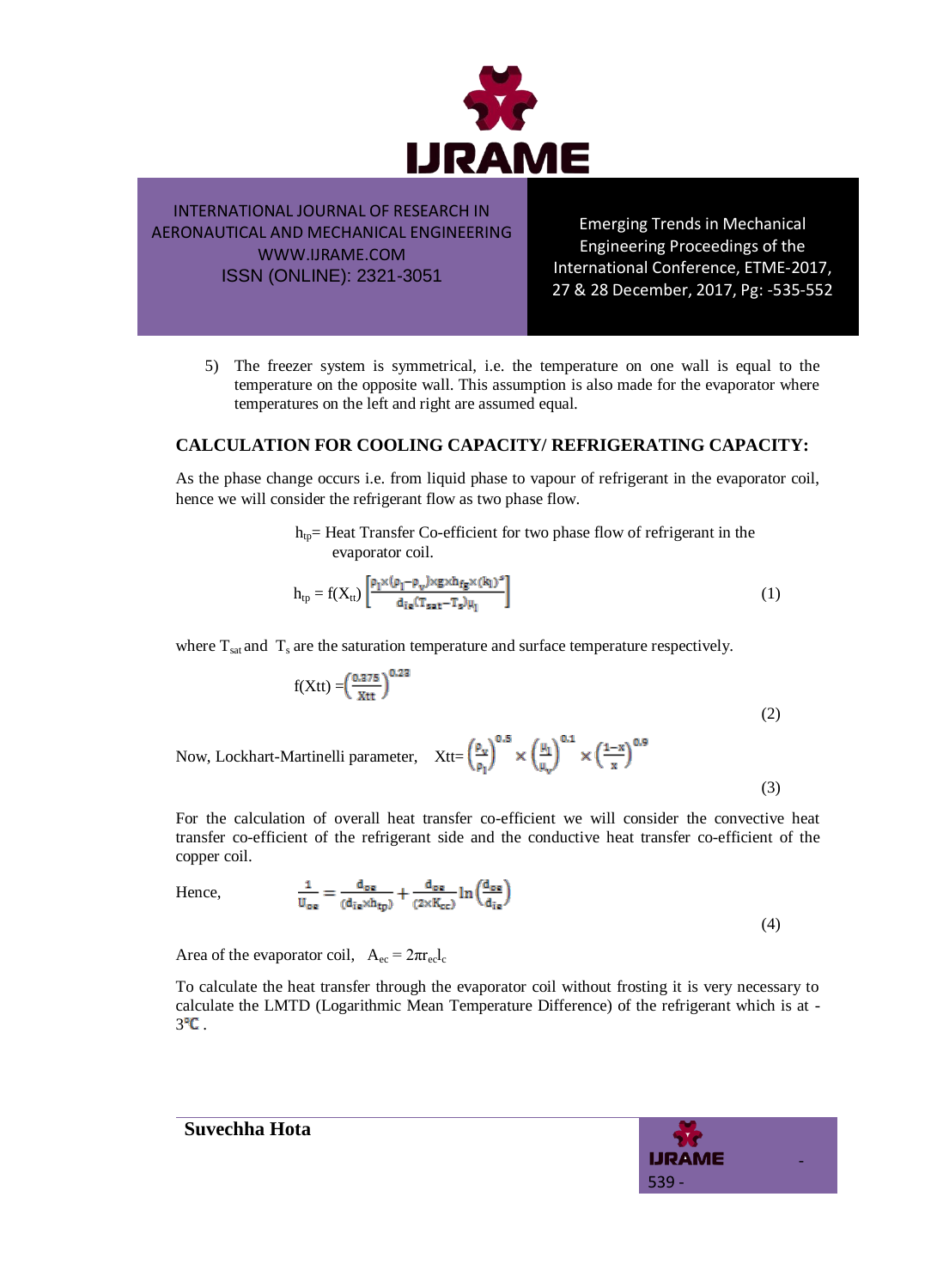

Emerging Trends in Mechanical Engineering Proceedings of the International Conference, ETME-2017, 27 & 28 December, 2017, Pg: -535-552

5) The freezer system is symmetrical, i.e. the temperature on one wall is equal to the temperature on the opposite wall. This assumption is also made for the evaporator where temperatures on the left and right are assumed equal.

#### **CALCULATION FOR COOLING CAPACITY/ REFRIGERATING CAPACITY:**

As the phase change occurs i.e. from liquid phase to vapour of refrigerant in the evaporator coil, hence we will consider the refrigerant flow as two phase flow.

> $h_{tp}$ = Heat Transfer Co-efficient for two phase flow of refrigerant in the evaporator coil.

$$
h_{tp} = f(X_{tt}) \left[ \frac{\rho_1 \times (\rho_1 - \rho_v) \times g \times h_{fg} \times (k_1)^s}{d_{ie}(T_{sat} - T_s)\mu_1} \right]
$$
 (1)

where  $T_{sat}$  and  $T_s$  are the saturation temperature and surface temperature respectively.

$$
f(Xtt) = \left(\frac{0.275}{Xtt}\right)^{0.22}
$$
\n
$$
(2)
$$

Now, Lockhart-Martinelli parameter,  $Xtt=\left(\frac{\rho_y}{\rho_1}\right)^{0.5} \times \left(\frac{\mu_1}{\mu_1}\right)^{0.1} \times \left(\frac{1-x}{x}\right)^{0.9}$ 

(3)

For the calculation of overall heat transfer co-efficient we will consider the convective heat transfer co-efficient of the refrigerant side and the conductive heat transfer co-efficient of the copper coil.

Hence, 
$$
\frac{1}{U_{\text{oe}}} = \frac{d_{\text{oe}}}{(d_{\text{ie}} \times h_{\text{tp}})} + \frac{d_{\text{oe}}}{(2 \times K_{\text{ce}})} \ln \left( \frac{d_{\text{oe}}}{d_{\text{ie}}} \right)
$$
(4)

Area of the evaporator coil,  $A_{ec} = 2\pi r_{ec}l_c$ 

To calculate the heat transfer through the evaporator coil without frosting it is very necessary to calculate the LMTD (Logarithmic Mean Temperature Difference) of the refrigerant which is at -  $3^{\circ}$ C.

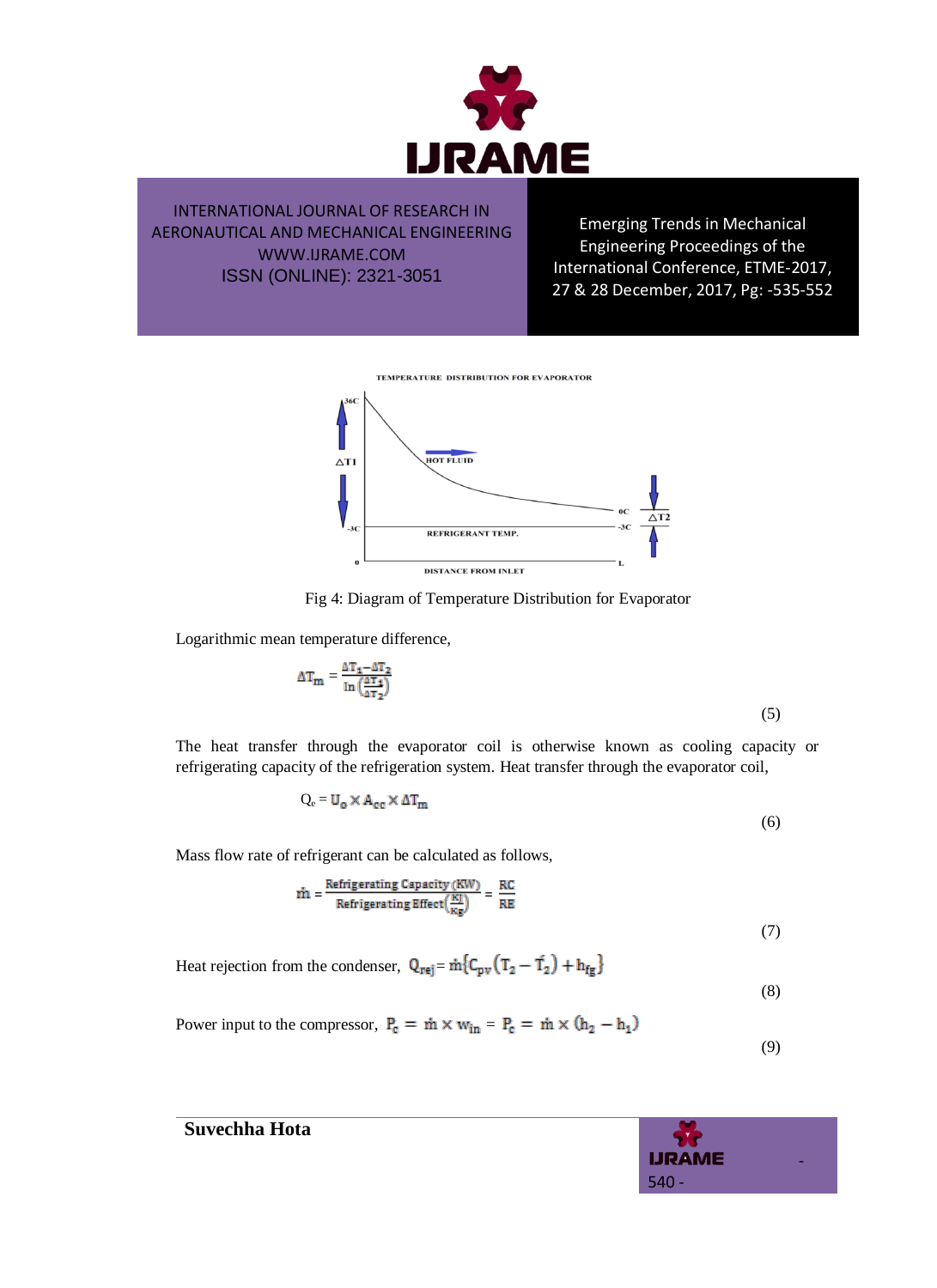

Emerging Trends in Mechanical Engineering Proceedings of the International Conference, ETME-2017, 27 & 28 December, 2017, Pg: -535-552



Fig 4: Diagram of Temperature Distribution for Evaporator

Logarithmic mean temperature difference,

$$
\Delta T_{\rm m} = \frac{\Delta T_1 - \Delta T_2}{\ln\left(\frac{\Delta T_1}{\Delta T_2}\right)}\tag{5}
$$

The heat transfer through the evaporator coil is otherwise known as cooling capacity or refrigerating capacity of the refrigeration system. Heat transfer through the evaporator coil,

$$
Q_e = U_o \times A_{ce} \times \Delta T_m
$$
\n<sup>(6)</sup>

Mass flow rate of refrigerant can be calculated as follows,

$$
\dot{m} = \frac{\text{Refrigerating Capacity (KW)}}{\text{Refrigerating Effect}(\frac{KJ}{Kg})} = \frac{RC}{RE}
$$
\n(7)

Heat rejection from the condenser,  $Q_{\text{rej}} = \dot{m} \{ C_{\text{pv}} (T_2 - T_2) + h_{\text{fg}} \}$ 

$$
- (8)
$$

Power input to the compressor,  $P_c = \dot{m} \times w_{in} = P_c = \dot{m} \times (h_2 - h_1)$ 

(9)



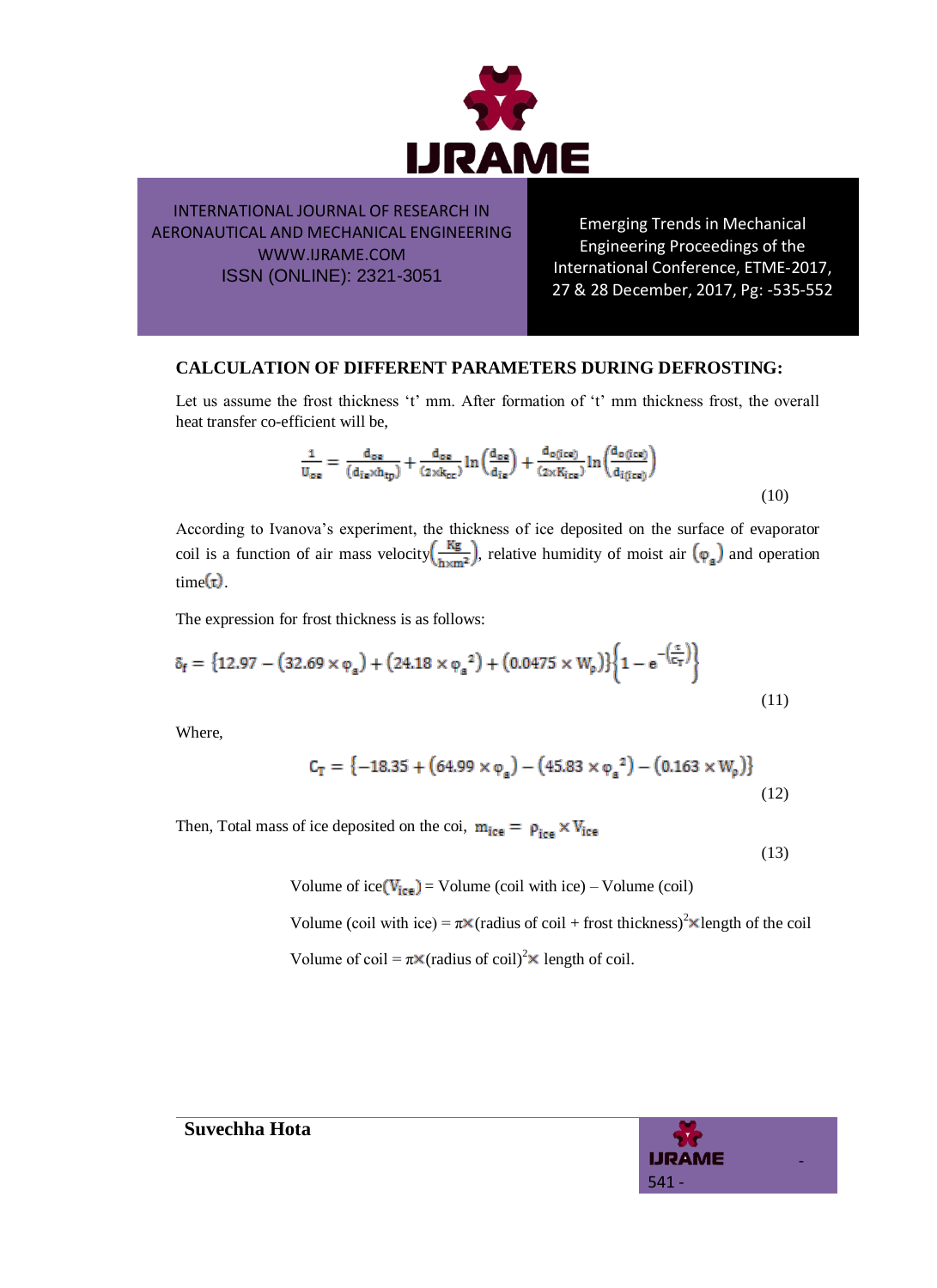

Emerging Trends in Mechanical Engineering Proceedings of the International Conference, ETME-2017, 27 & 28 December, 2017, Pg: -535-552

#### **CALCULATION OF DIFFERENT PARAMETERS DURING DEFROSTING:**

Let us assume the frost thickness 't' mm. After formation of 't' mm thickness frost, the overall heat transfer co-efficient will be,

$$
\frac{1}{U_{\text{oe}}} = \frac{d_{\text{oe}}}{(d_{\text{ie}} \times h_{\text{tp}})} + \frac{d_{\text{oe}}}{(2 \times k_{\text{ce}})} \ln \left( \frac{d_{\text{oe}}}{d_{\text{ie}}} \right) + \frac{d_{\text{o}(ice)}}{(2 \times K_{\text{ice}})} \ln \left( \frac{d_{\text{o}(ice)}}{d_{\text{i}(ice)}} \right)
$$
\n(10)

According to Ivanova"s experiment, the thickness of ice deposited on the surface of evaporator coil is a function of air mass velocity  $\left(\frac{Kg}{h \times m^2}\right)$ , relative humidity of moist air  $(\varphi_a)$  and operation  $time(t)$ .

The expression for frost thickness is as follows:

$$
\delta_{\mathbf{f}} = \{12.97 - (32.69 \times \varphi_{\mathbf{a}}) + (24.18 \times \varphi_{\mathbf{a}}^{2}) + (0.0475 \times W_{\mathbf{p}})\}\bigg\{1 - e^{-\left(\frac{\mathbf{r}}{C_{\mathbf{T}}}\right)}\bigg\}
$$
(11)

Where,

$$
C_T = \{-18.35 + (64.99 \times \varphi_a) - (45.83 \times \varphi_a^2) - (0.163 \times W_p)\}\
$$
\n(12)

Then, Total mass of ice deposited on the coi,  $m_{ice} = \rho_{ice} \times V_{ice}$ 

(13)

Volume of ice  $(V_{ice})$  = Volume (coil with ice) – Volume (coil)

Volume (coil with ice) =  $\pi$ ×(radius of coil + frost thickness)<sup>2</sup>×length of the coil

Volume of coil =  $\pi \times$  (radius of coil)<sup>2</sup> $\times$  length of coil.

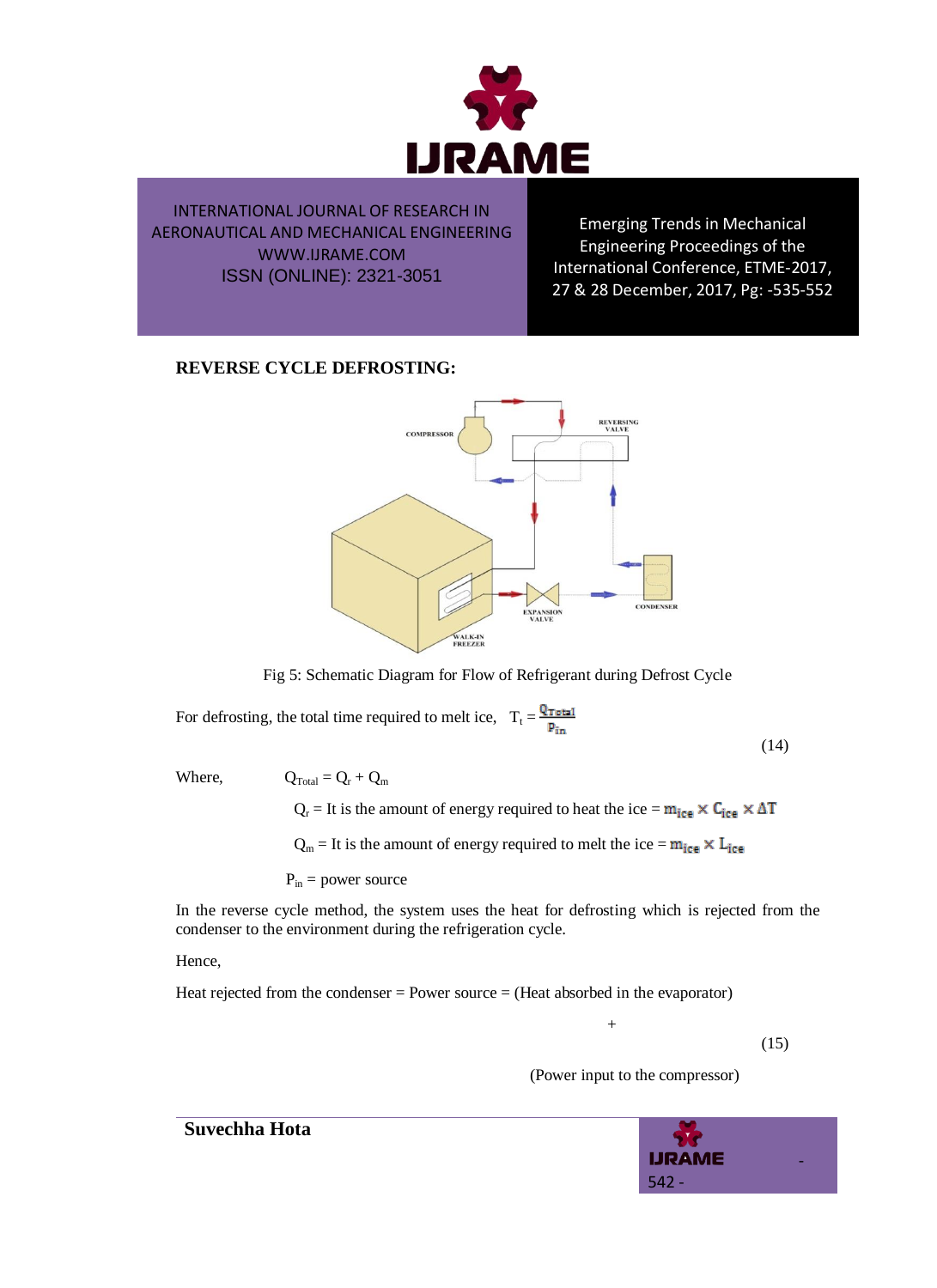

Emerging Trends in Mechanical Engineering Proceedings of the International Conference, ETME-2017, 27 & 28 December, 2017, Pg: -535-552

## **REVERSE CYCLE DEFROSTING:**



Fig 5: Schematic Diagram for Flow of Refrigerant during Defrost Cycle

For defrosting, the total time required to melt ice,  $T_t = \frac{Q_{\text{Total}}}{P_{\text{in}}}$ 

(14)

Where,  $Q_{Total} = Q_r + Q_m$ 

 $Q_r = It$  is the amount of energy required to heat the ice =  $m_{ice} \times C_{ice} \times \Delta T$  $Q_m = It$  is the amount of energy required to melt the ice =  $m_{ice} \times L_{ice}$ 

 $P_{in}$  = power source

In the reverse cycle method, the system uses the heat for defrosting which is rejected from the condenser to the environment during the refrigeration cycle.

#### Hence,

Heat rejected from the condenser = Power source = (Heat absorbed in the evaporator)

 $+$ 

(15)

(Power input to the compressor)

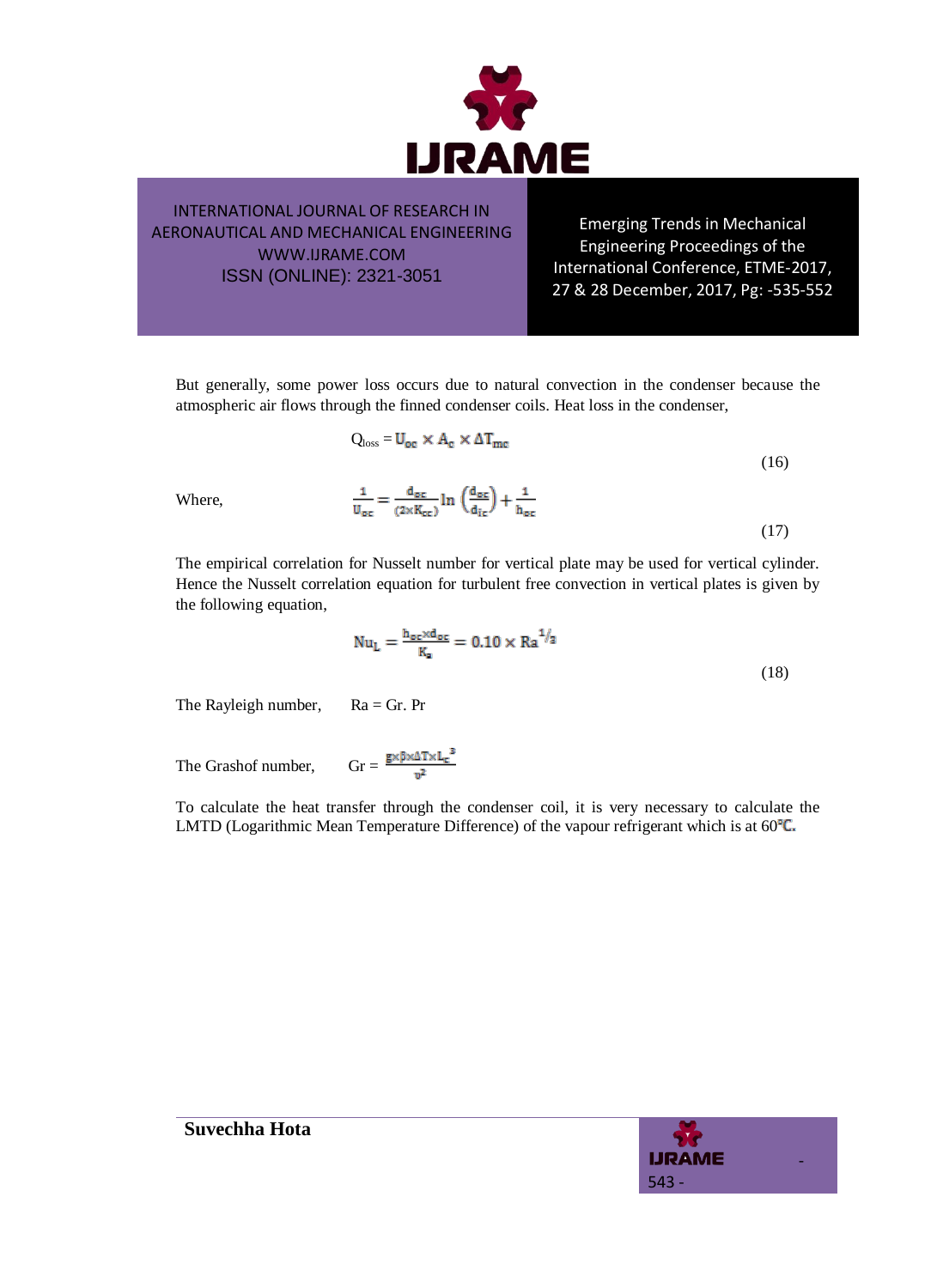

Emerging Trends in Mechanical Engineering Proceedings of the International Conference, ETME-2017, 27 & 28 December, 2017, Pg: -535-552

But generally, some power loss occurs due to natural convection in the condenser because the atmospheric air flows through the finned condenser coils. Heat loss in the condenser,

$$
Q_{\text{loss}} = U_{\text{oc}} \times A_{\text{c}} \times \Delta T_{\text{mc}}
$$
\n
$$
\frac{1}{U_{\text{oc}}} = \frac{d_{\text{oc}}}{(2 \times K_{\text{cc}})} \ln \left( \frac{d_{\text{oc}}}{d_{\text{ic}}} \right) + \frac{1}{h_{\text{oc}}}
$$
\n(16)

Where,

The empirical correlation for Nusselt number for vertical plate may be used for vertical cylinder. Hence the Nusselt correlation equation for turbulent free convection in vertical plates is given by the following equation,

$$
Nu_{L} = \frac{h_{oc} \times d_{oc}}{K_{a}} = 0.10 \times Ra^{1/3}
$$
\n(18)

The Rayleigh number,  $Ra = Gr$ . Pr

The Grashof number,  $\text{Gr} = \frac{\mathbf{g} \times \beta \times \Delta \text{T} \times \text{L}_c^3}{n^2}$ 

To calculate the heat transfer through the condenser coil, it is very necessary to calculate the LMTD (Logarithmic Mean Temperature Difference) of the vapour refrigerant which is at  $60^{\circ}$ C.

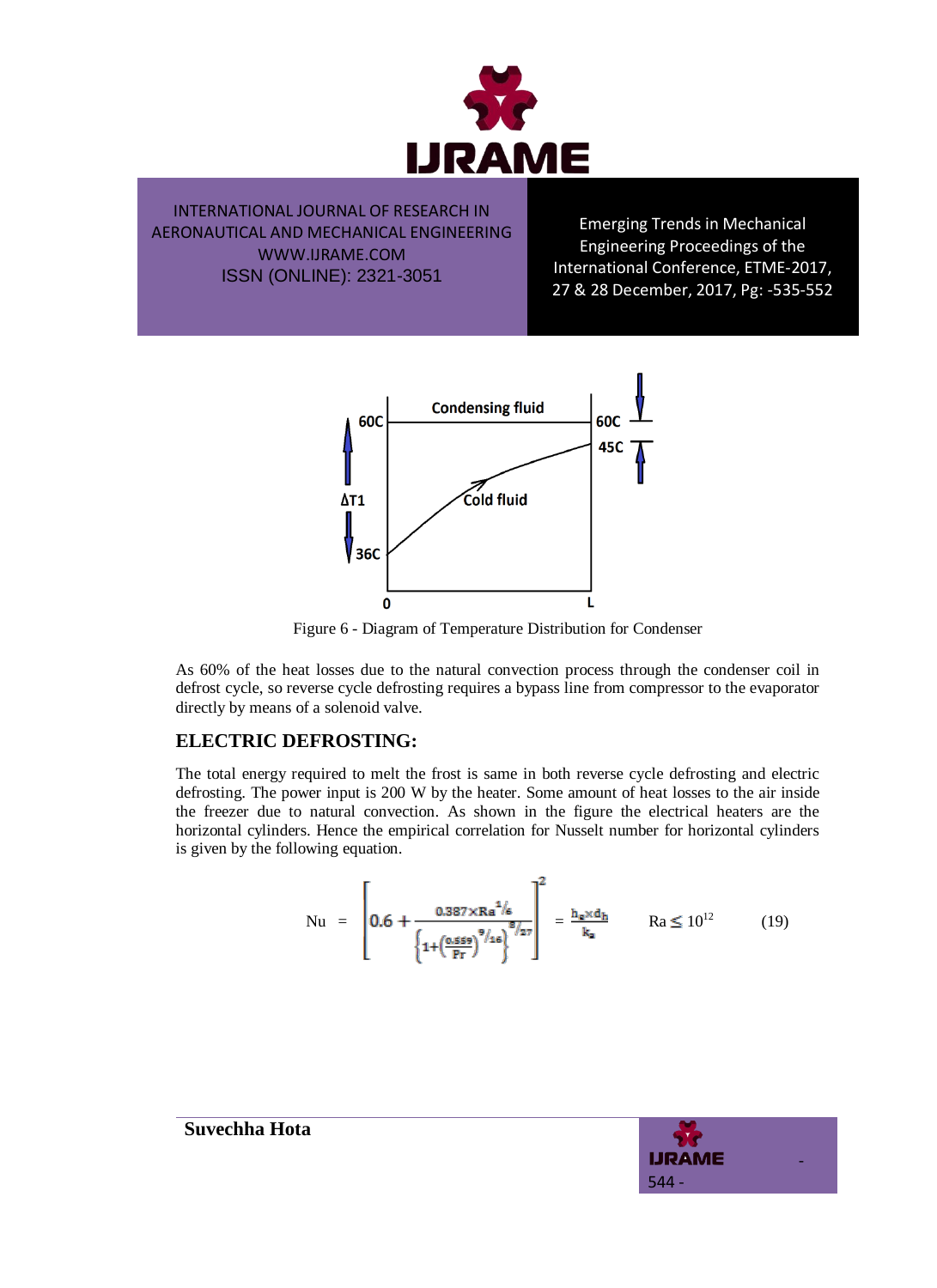

Emerging Trends in Mechanical Engineering Proceedings of the International Conference, ETME-2017, 27 & 28 December, 2017, Pg: -535-552



Figure 6 - Diagram of Temperature Distribution for Condenser

As 60% of the heat losses due to the natural convection process through the condenser coil in defrost cycle, so reverse cycle defrosting requires a bypass line from compressor to the evaporator directly by means of a solenoid valve.

## **ELECTRIC DEFROSTING:**

The total energy required to melt the frost is same in both reverse cycle defrosting and electric defrosting. The power input is 200 W by the heater. Some amount of heat losses to the air inside the freezer due to natural convection. As shown in the figure the electrical heaters are the horizontal cylinders. Hence the empirical correlation for Nusselt number for horizontal cylinders is given by the following equation.

$$
Nu = \left[0.6 + \frac{0.387 \times Ra^{1/6}}{\left\{1 + \left(\frac{0.559}{Pr}\right)^9/16\right\}^{8/27}}\right]^2 = \frac{h_e \times d_h}{k_a} \qquad Ra \le 10^{12} \tag{19}
$$

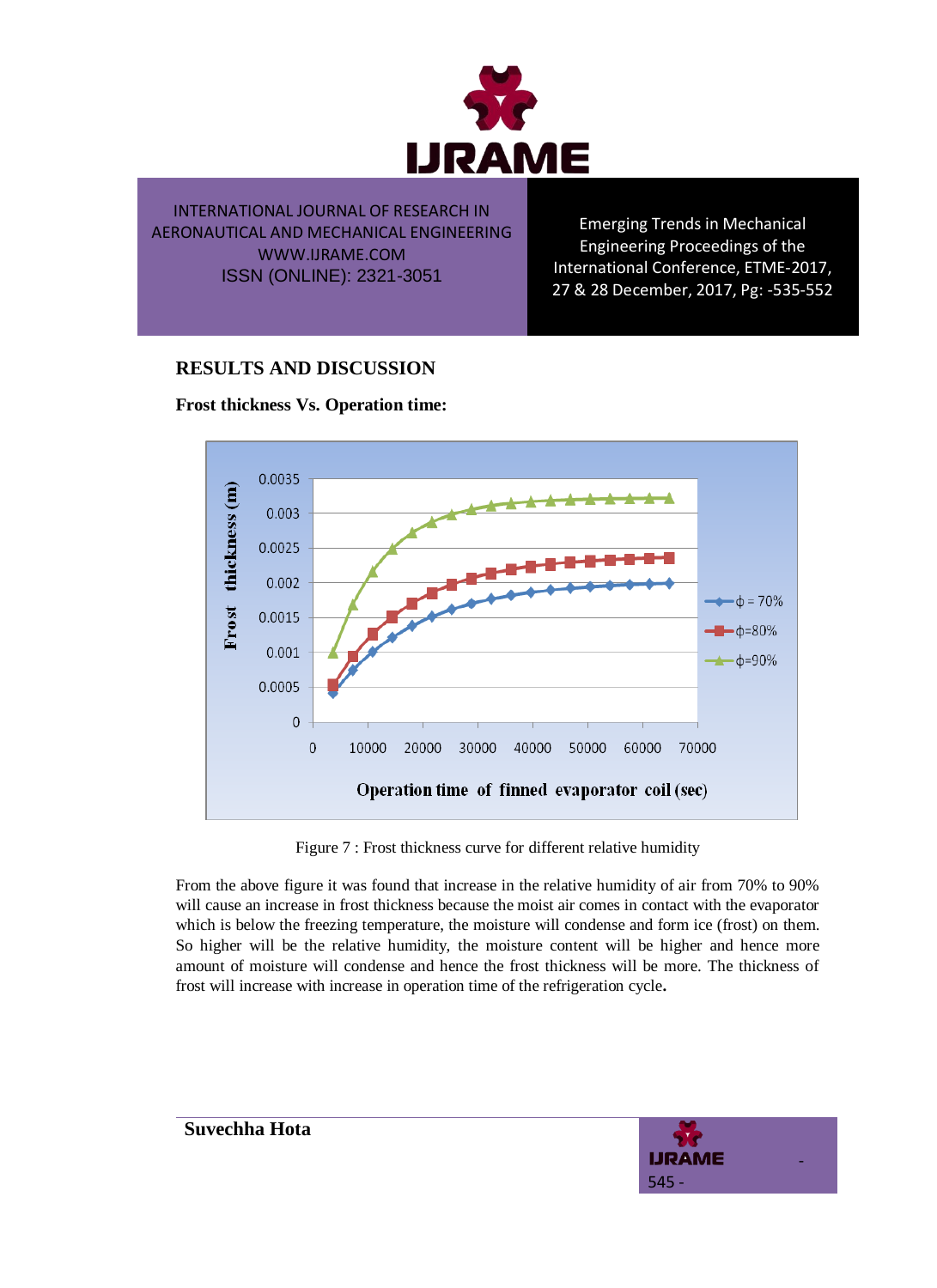

Emerging Trends in Mechanical Engineering Proceedings of the International Conference, ETME-2017, 27 & 28 December, 2017, Pg: -535-552

## **RESULTS AND DISCUSSION**





Figure 7 : Frost thickness curve for different relative humidity

From the above figure it was found that increase in the relative humidity of air from 70% to 90% will cause an increase in frost thickness because the moist air comes in contact with the evaporator which is below the freezing temperature, the moisture will condense and form ice (frost) on them. So higher will be the relative humidity, the moisture content will be higher and hence more amount of moisture will condense and hence the frost thickness will be more. The thickness of frost will increase with increase in operation time of the refrigeration cycle**.** 

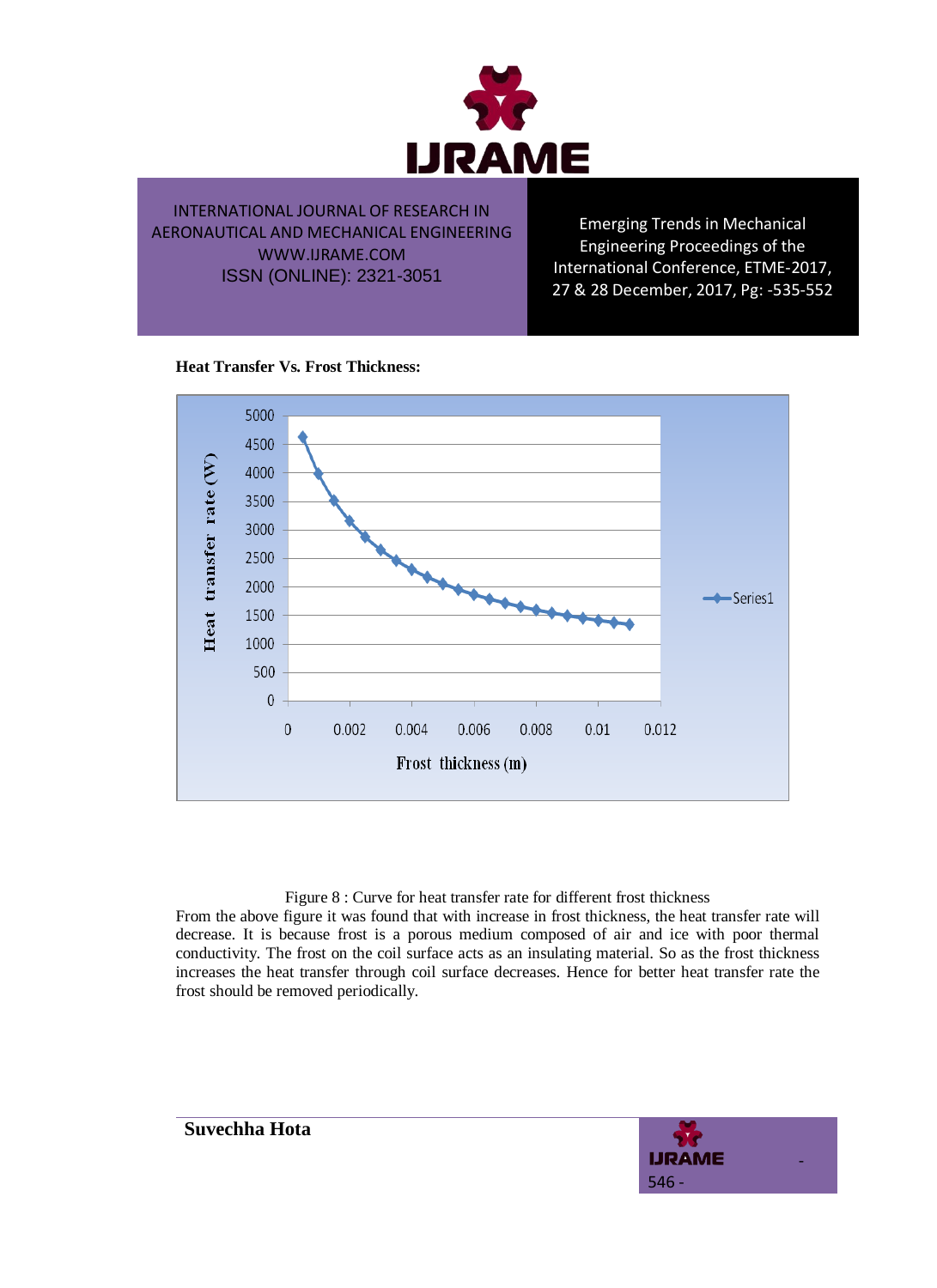

Emerging Trends in Mechanical Engineering Proceedings of the International Conference, ETME-2017, 27 & 28 December, 2017, Pg: -535-552

#### **Heat Transfer Vs. Frost Thickness:**



#### Figure 8 : Curve for heat transfer rate for different frost thickness

From the above figure it was found that with increase in frost thickness, the heat transfer rate will decrease. It is because frost is a porous medium composed of air and ice with poor thermal conductivity. The frost on the coil surface acts as an insulating material. So as the frost thickness increases the heat transfer through coil surface decreases. Hence for better heat transfer rate the frost should be removed periodically.

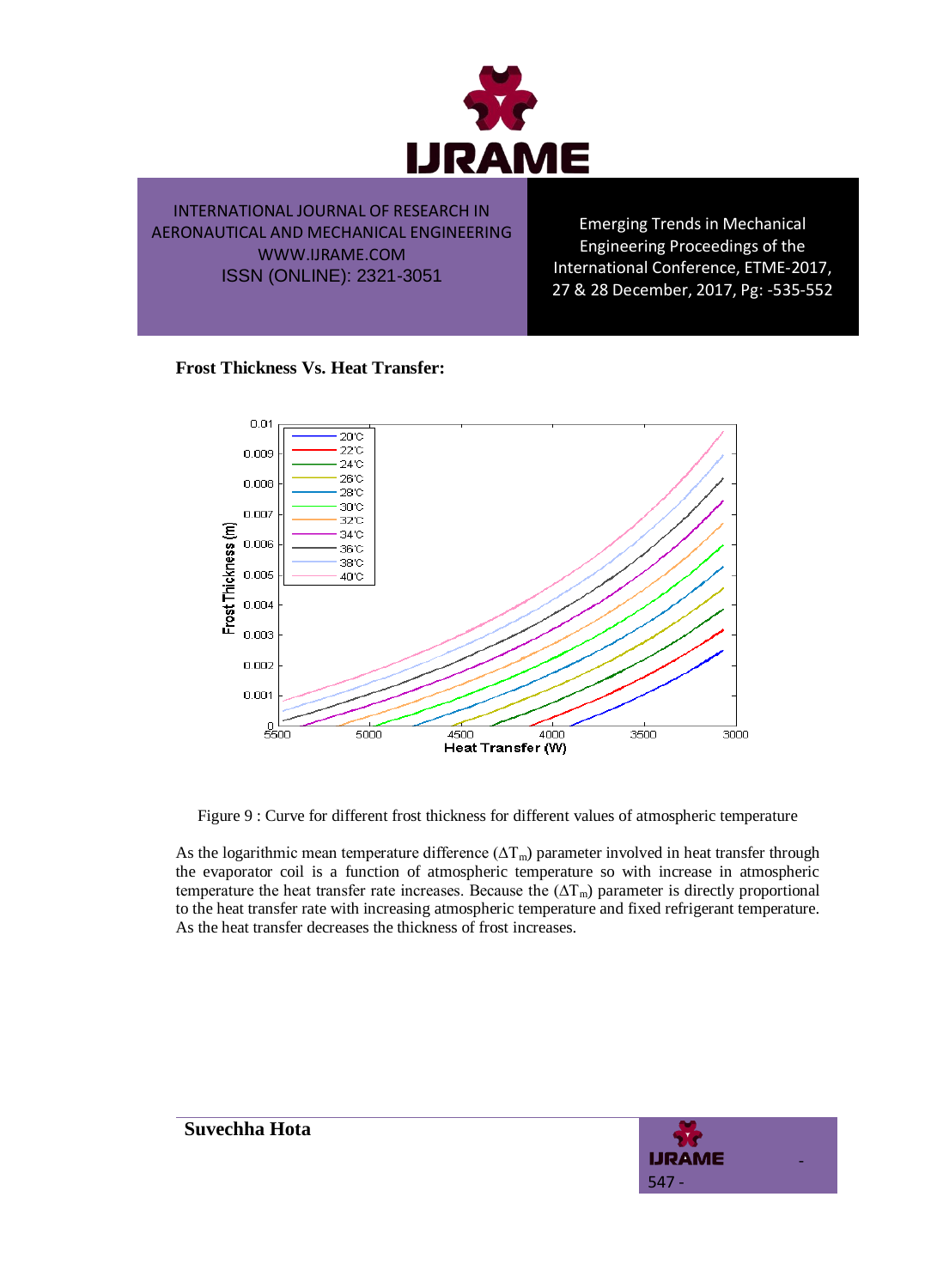

Emerging Trends in Mechanical Engineering Proceedings of the International Conference, ETME-2017, 27 & 28 December, 2017, Pg: -535-552

#### **Frost Thickness Vs. Heat Transfer:**



Figure 9 : Curve for different frost thickness for different values of atmospheric temperature

As the logarithmic mean temperature difference ( $\Delta T_m$ ) parameter involved in heat transfer through the evaporator coil is a function of atmospheric temperature so with increase in atmospheric temperature the heat transfer rate increases. Because the  $(\Delta T_m)$  parameter is directly proportional to the heat transfer rate with increasing atmospheric temperature and fixed refrigerant temperature. As the heat transfer decreases the thickness of frost increases.

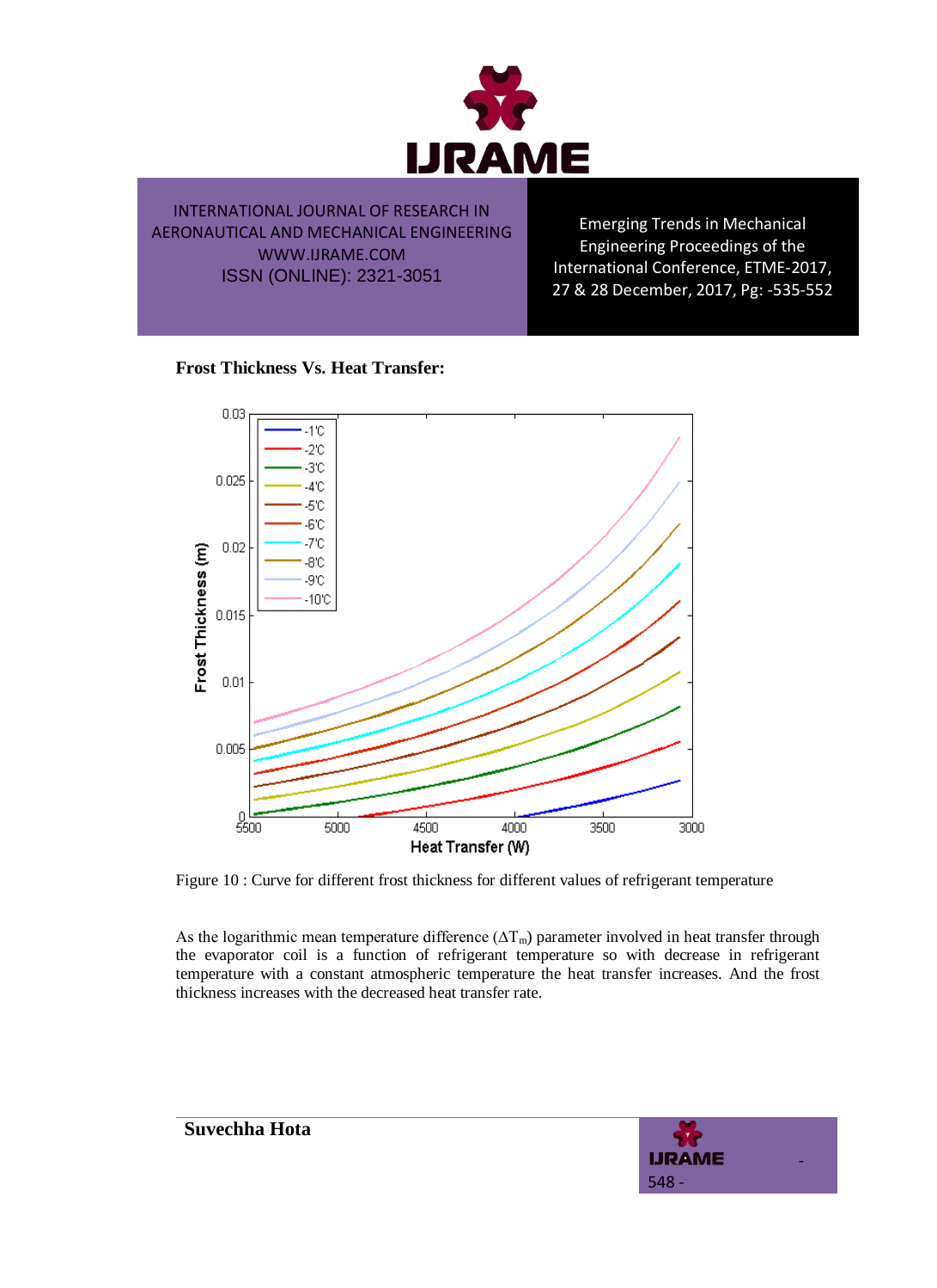

Emerging Trends in Mechanical Engineering Proceedings of the International Conference, ETME-2017, 27 & 28 December, 2017, Pg: -535-552

#### **Frost Thickness Vs. Heat Transfer:**



Figure 10 : Curve for different frost thickness for different values of refrigerant temperature

As the logarithmic mean temperature difference ( $\Delta T_m$ ) parameter involved in heat transfer through the evaporator coil is a function of refrigerant temperature so with decrease in refrigerant temperature with a constant atmospheric temperature the heat transfer increases. And the frost thickness increases with the decreased heat transfer rate.

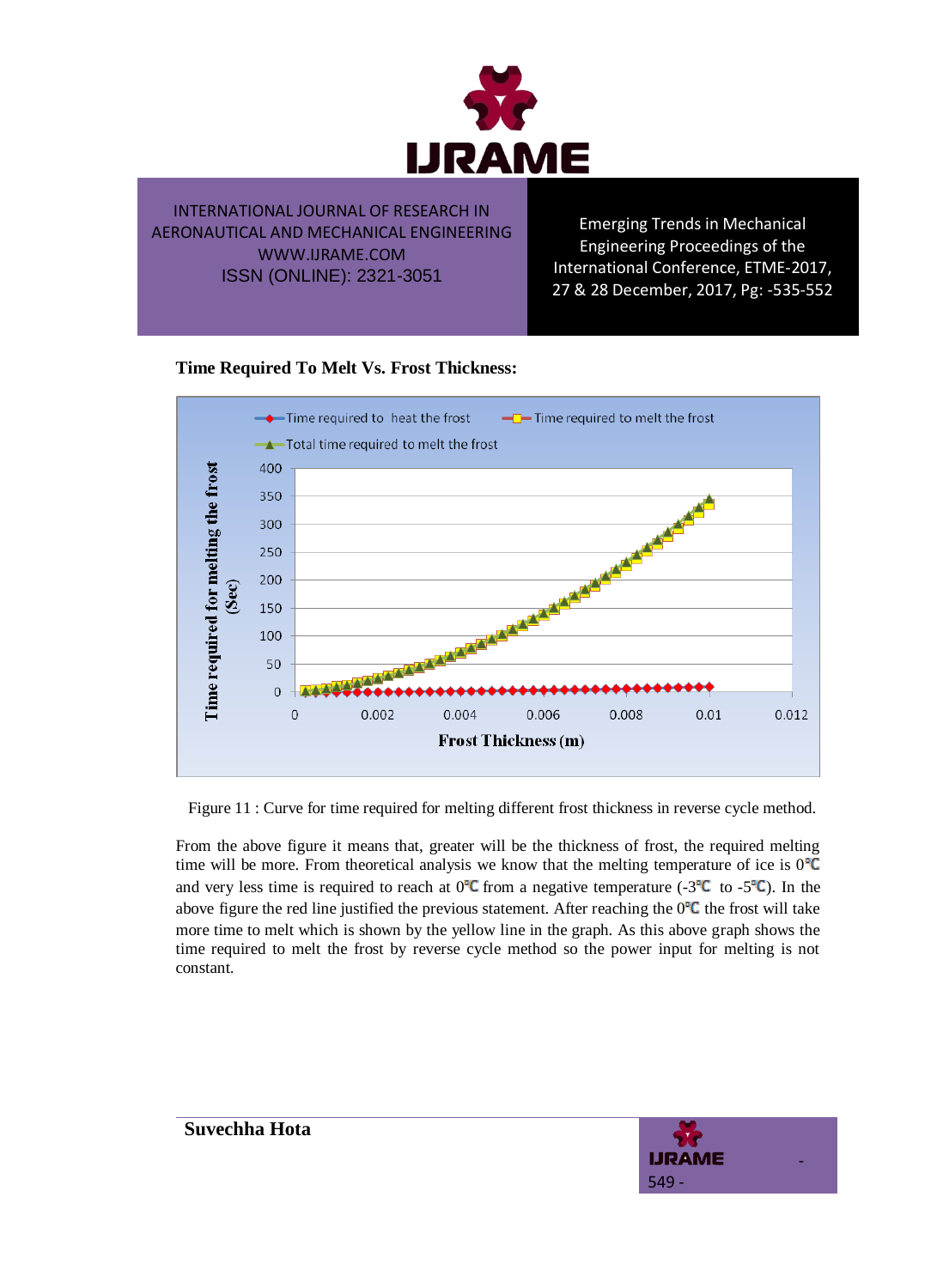

Emerging Trends in Mechanical Engineering Proceedings of the International Conference, ETME-2017, 27 & 28 December, 2017, Pg: -535-552

## **Time Required To Melt Vs. Frost Thickness:**



Figure 11 : Curve for time required for melting different frost thickness in reverse cycle method.

From the above figure it means that, greater will be the thickness of frost, the required melting time will be more. From theoretical analysis we know that the melting temperature of ice is  $0^{\circ}C$ and very less time is required to reach at  $0^{\circ}C$  from a negative temperature (-3 $^{\circ}C$  to -5 $^{\circ}C$ ). In the above figure the red line justified the previous statement. After reaching the  $0^\circ\mathsf{C}$  the frost will take more time to melt which is shown by the yellow line in the graph. As this above graph shows the time required to melt the frost by reverse cycle method so the power input for melting is not constant.

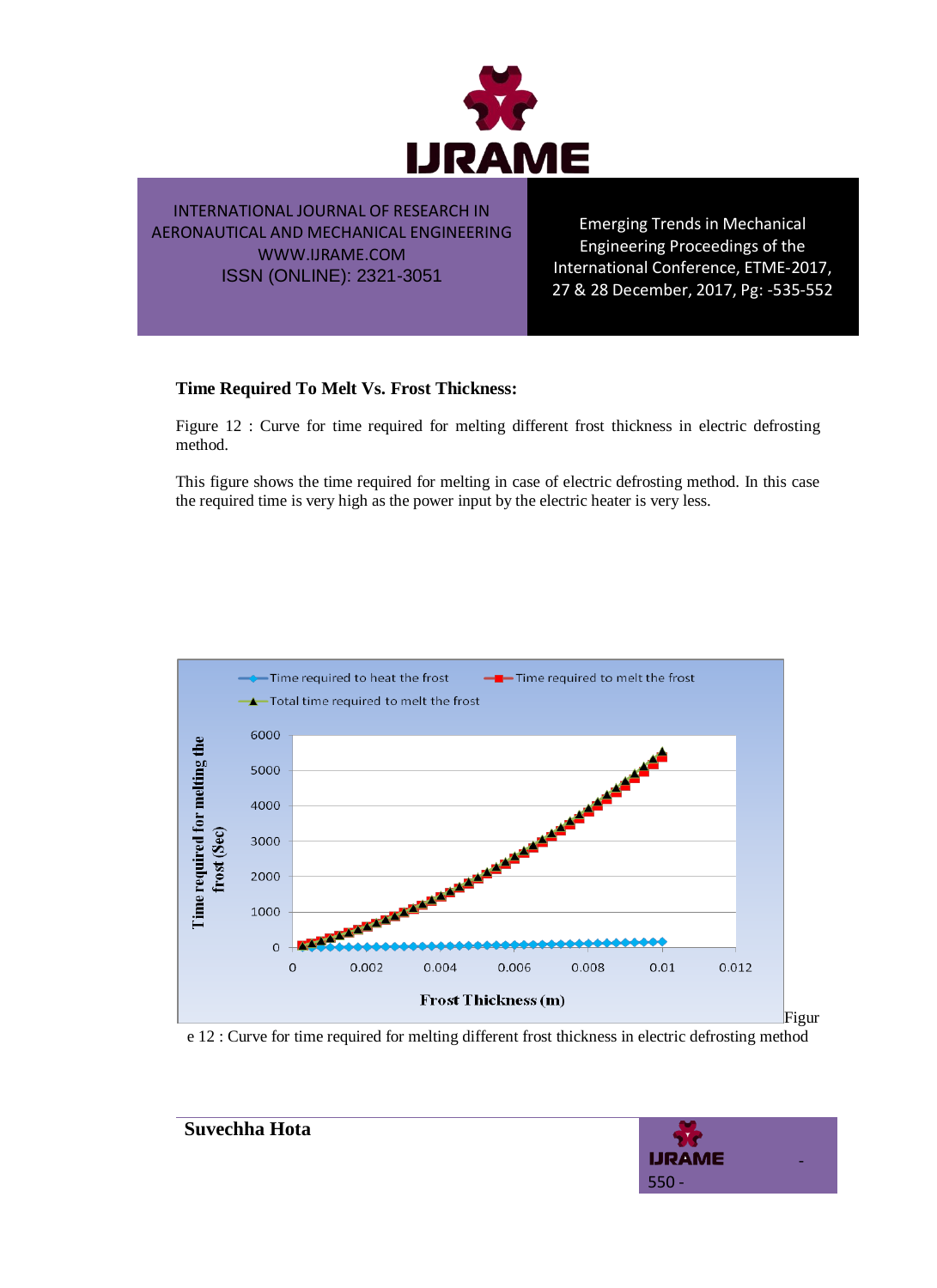

Emerging Trends in Mechanical Engineering Proceedings of the International Conference, ETME-2017, 27 & 28 December, 2017, Pg: -535-552

#### **Time Required To Melt Vs. Frost Thickness:**

Figure 12 : Curve for time required for melting different frost thickness in electric defrosting method.

This figure shows the time required for melting in case of electric defrosting method. In this case the required time is very high as the power input by the electric heater is very less.



e 12 : Curve for time required for melting different frost thickness in electric defrosting method

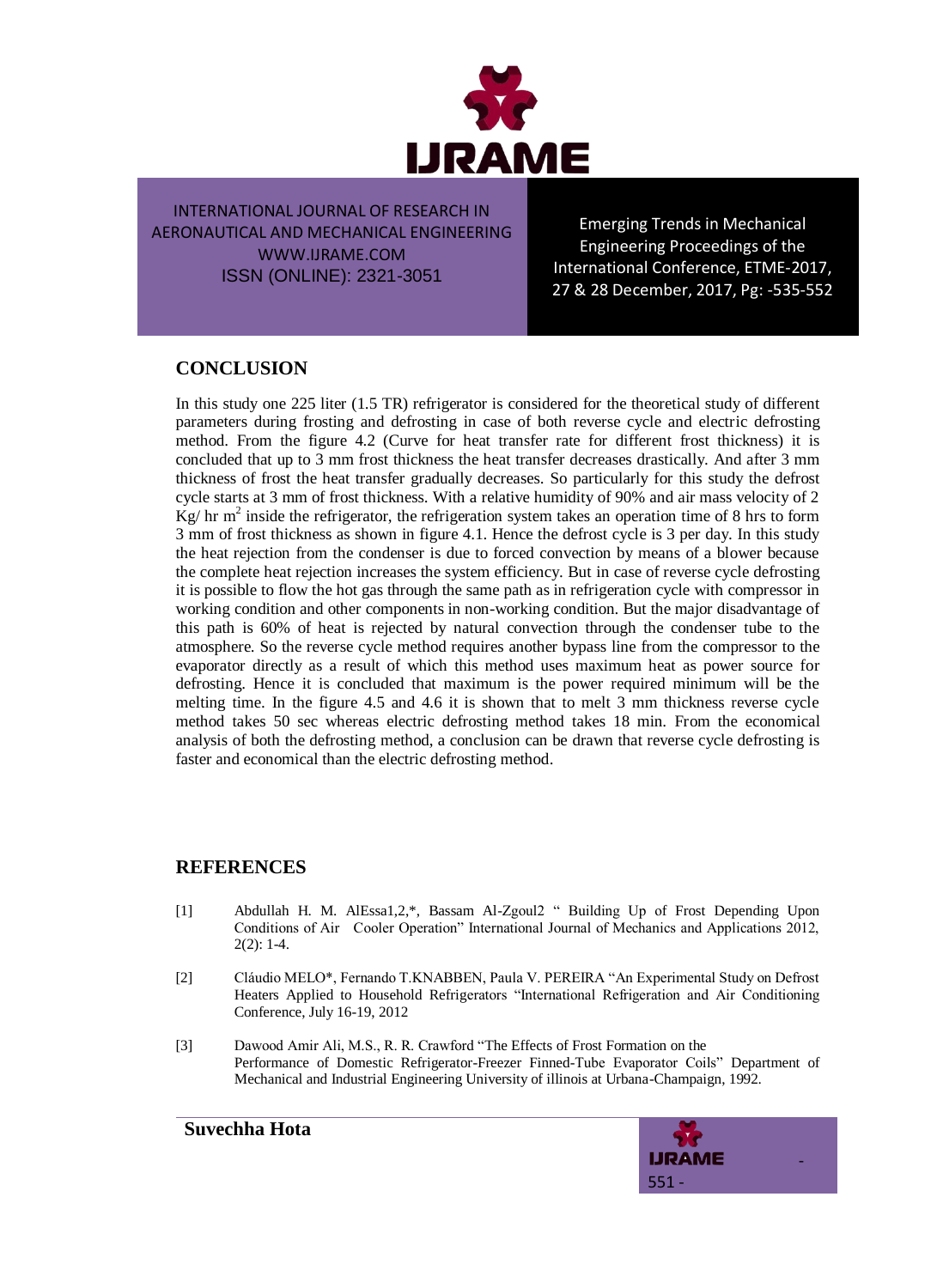

Emerging Trends in Mechanical Engineering Proceedings of the International Conference, ETME-2017, 27 & 28 December, 2017, Pg: -535-552

## **CONCLUSION**

In this study one 225 liter (1.5 TR) refrigerator is considered for the theoretical study of different parameters during frosting and defrosting in case of both reverse cycle and electric defrosting method. From the figure 4.2 (Curve for heat transfer rate for different frost thickness) it is concluded that up to 3 mm frost thickness the heat transfer decreases drastically. And after 3 mm thickness of frost the heat transfer gradually decreases. So particularly for this study the defrost cycle starts at 3 mm of frost thickness. With a relative humidity of 90% and air mass velocity of 2  $\text{Kg}/\text{hr}$  m<sup>2</sup> inside the refrigerator, the refrigeration system takes an operation time of 8 hrs to form 3 mm of frost thickness as shown in figure 4.1. Hence the defrost cycle is 3 per day. In this study the heat rejection from the condenser is due to forced convection by means of a blower because the complete heat rejection increases the system efficiency. But in case of reverse cycle defrosting it is possible to flow the hot gas through the same path as in refrigeration cycle with compressor in working condition and other components in non-working condition. But the major disadvantage of this path is 60% of heat is rejected by natural convection through the condenser tube to the atmosphere. So the reverse cycle method requires another bypass line from the compressor to the evaporator directly as a result of which this method uses maximum heat as power source for defrosting. Hence it is concluded that maximum is the power required minimum will be the melting time. In the figure 4.5 and 4.6 it is shown that to melt 3 mm thickness reverse cycle method takes 50 sec whereas electric defrosting method takes 18 min. From the economical analysis of both the defrosting method, a conclusion can be drawn that reverse cycle defrosting is faster and economical than the electric defrosting method.

## **REFERENCES**

- [1] Abdullah H. M. AlEssa1,2,\*, Bassam Al-Zgoul2 " Building Up of Frost Depending Upon Conditions of Air Cooler Operation" International Journal of Mechanics and Applications 2012,  $2(2): 1-4.$
- [2] Cláudio MELO\*, Fernando T.KNABBEN, Paula V. PEREIRA "An Experimental Study on Defrost Heaters Applied to Household Refrigerators "International Refrigeration and Air Conditioning Conference, July 16-19, 2012
- [3] Dawood Amir Ali, M.S., R. R. Crawford "The Effects of Frost Formation on the Performance of Domestic Refrigerator-Freezer Finned-Tube Evaporator Coils" Department of Mechanical and Industrial Engineering University of illinois at Urbana-Champaign, 1992.